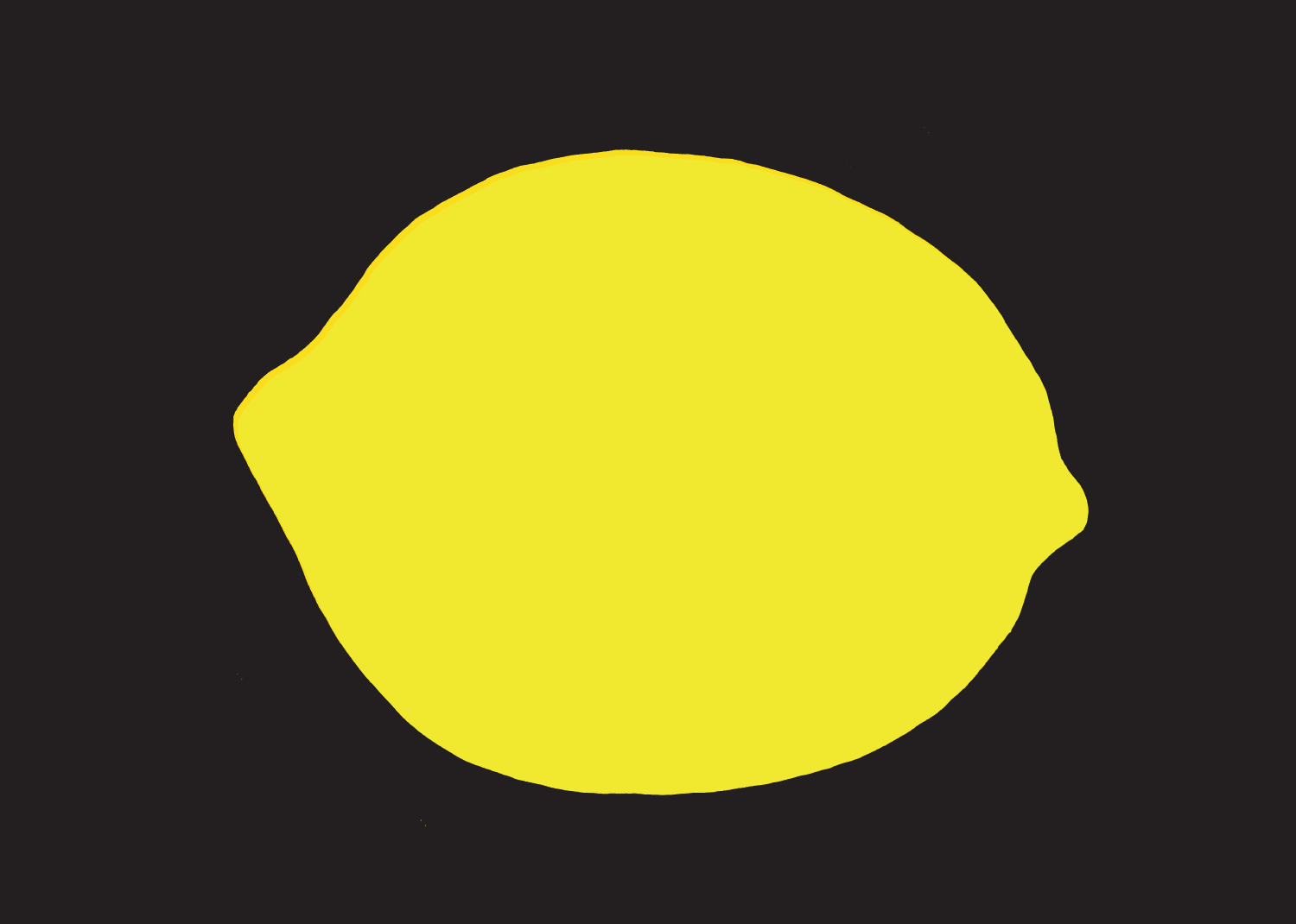